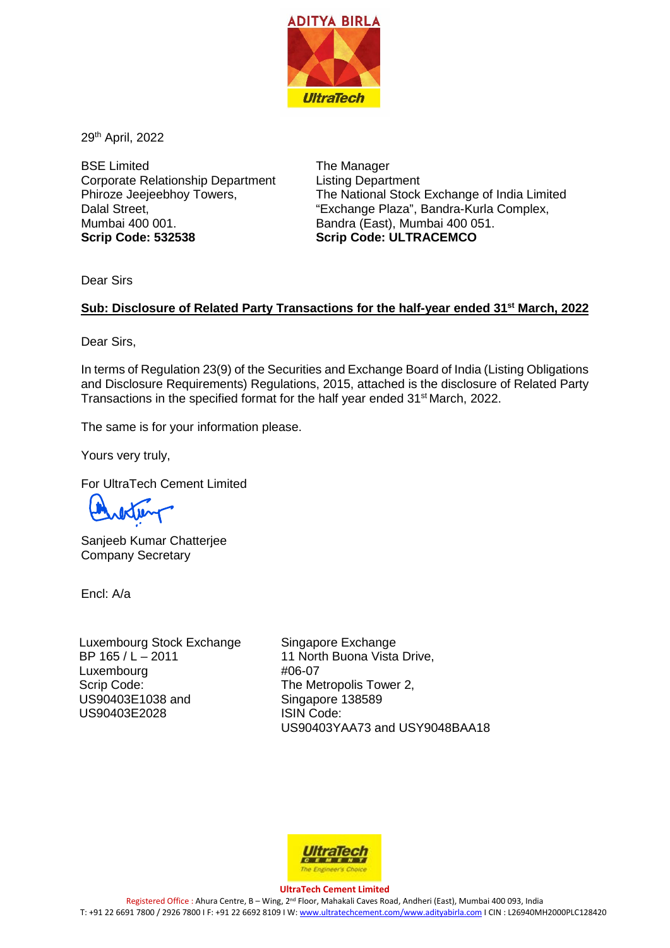

29th April, 2022

BSE Limited Corporate Relationship Department Phiroze Jeejeebhoy Towers, Dalal Street, Mumbai 400 001. **Scrip Code: 532538**

The Manager Listing Department The National Stock Exchange of India Limited "Exchange Plaza", Bandra-Kurla Complex, Bandra (East), Mumbai 400 051. **Scrip Code: ULTRACEMCO**

Dear Sirs

## **Sub: Disclosure of Related Party Transactions for the half-year ended 31st March, 2022**

Dear Sirs,

In terms of Regulation 23(9) of the Securities and Exchange Board of India (Listing Obligations and Disclosure Requirements) Regulations, 2015, attached is the disclosure of Related Party Transactions in the specified format for the half year ended 31<sup>st</sup> March, 2022.

The same is for your information please.

Yours very truly,

For UltraTech Cement Limited

Sanjeeb Kumar Chatterjee Company Secretary

Encl: A/a

Luxembourg Stock Exchange BP 165 / L – 2011 Luxembourg Scrip Code: US90403E1038 and US90403E2028

Singapore Exchange 11 North Buona Vista Drive, #06-07 The Metropolis Tower 2, Singapore 138589 ISIN Code: US90403YAA73 and USY9048BAA18



## **UltraTech Cement Limited**

Registered Office : Ahura Centre, B – Wing, 2nd Floor, Mahakali Caves Road, Andheri (East), Mumbai 400 093, India T: +91 22 6691 7800 / 2926 7800 I F: +91 22 6692 8109 I W[: www.ultratechcement.com/www.adityabirla.com](http://www.ultratechcement.com/www.adityabirla.com) I CIN : L26940MH2000PLC128420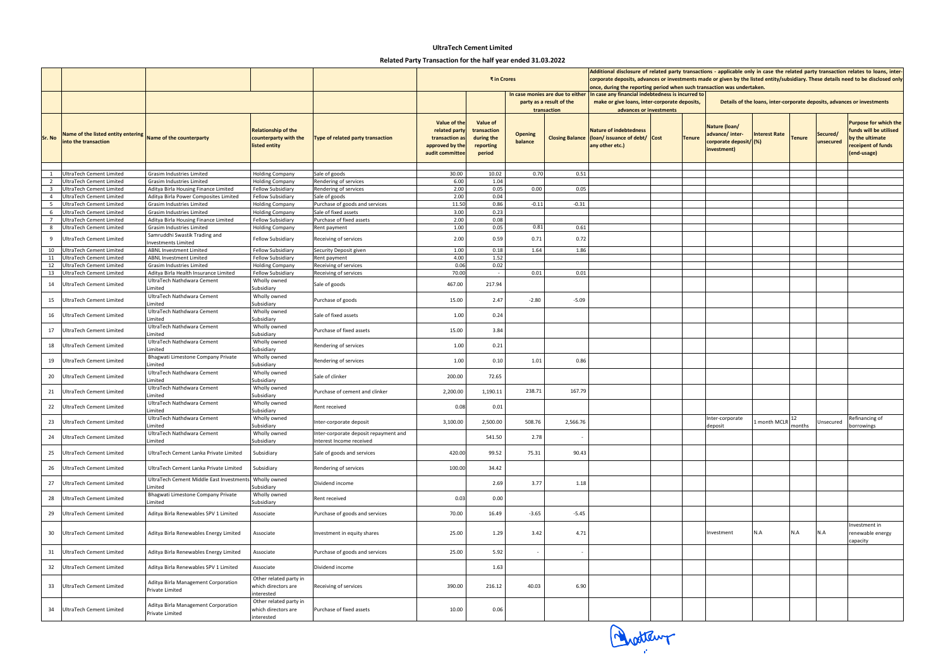| Nature (loan/<br>advance/inter-<br>corporate deposit/(%)<br>investment) | <b>Interest Rate</b> | <b>Tenure</b> | Secured/<br>unsecured | <b>Purpose for which the</b><br>funds will be utilised<br>by the ultimate<br>receipent of funds<br>(end-usage) |
|-------------------------------------------------------------------------|----------------------|---------------|-----------------------|----------------------------------------------------------------------------------------------------------------|
|                                                                         |                      |               |                       |                                                                                                                |
|                                                                         |                      |               |                       |                                                                                                                |
|                                                                         |                      |               |                       |                                                                                                                |
|                                                                         |                      |               |                       |                                                                                                                |
|                                                                         |                      |               |                       |                                                                                                                |
|                                                                         |                      |               |                       |                                                                                                                |
|                                                                         |                      |               |                       |                                                                                                                |
|                                                                         |                      |               |                       |                                                                                                                |
|                                                                         |                      |               |                       |                                                                                                                |
|                                                                         |                      |               |                       |                                                                                                                |
|                                                                         |                      |               |                       |                                                                                                                |
|                                                                         |                      |               |                       |                                                                                                                |
|                                                                         |                      |               |                       |                                                                                                                |
|                                                                         |                      |               |                       |                                                                                                                |
|                                                                         |                      |               |                       |                                                                                                                |
|                                                                         |                      |               |                       |                                                                                                                |
|                                                                         |                      |               |                       |                                                                                                                |
|                                                                         |                      |               |                       |                                                                                                                |
|                                                                         |                      |               |                       |                                                                                                                |
|                                                                         |                      |               |                       |                                                                                                                |
|                                                                         |                      |               |                       |                                                                                                                |
|                                                                         |                      |               |                       |                                                                                                                |
| Inter-corporate<br>deposit                                              | 1 month MCLR         | 12<br>months  | Unsecured             | Refinancing of<br>borrowings                                                                                   |
|                                                                         |                      |               |                       |                                                                                                                |
|                                                                         |                      |               |                       |                                                                                                                |
|                                                                         |                      |               |                       |                                                                                                                |
|                                                                         |                      |               |                       |                                                                                                                |
|                                                                         |                      |               |                       |                                                                                                                |
|                                                                         |                      |               |                       | Investment in                                                                                                  |
| Investment                                                              | N.A                  | N.A           | N.A                   | renewable energy<br>capacity                                                                                   |
|                                                                         |                      |               |                       |                                                                                                                |
|                                                                         |                      |               |                       |                                                                                                                |
|                                                                         |                      |               |                       |                                                                                                                |
|                                                                         |                      |               |                       |                                                                                                                |

**Details of the loans, inter-corporate deposits, advances or investments**

|                              |                                                                                     |                                                                                    |                                                                      |                                                                   |                                                                                       | ₹ in Crores                                                  | Additional disclosure of related party transactions - applicable only in case the related party tra<br>corporate deposits, advances or investments made or given by the listed entity/subsidiary. These<br>once, during the reporting period when such transaction was undertaken. |                        |                                                                                                                               |  |                                               |                                                                         |                          |               |                          |
|------------------------------|-------------------------------------------------------------------------------------|------------------------------------------------------------------------------------|----------------------------------------------------------------------|-------------------------------------------------------------------|---------------------------------------------------------------------------------------|--------------------------------------------------------------|------------------------------------------------------------------------------------------------------------------------------------------------------------------------------------------------------------------------------------------------------------------------------------|------------------------|-------------------------------------------------------------------------------------------------------------------------------|--|-----------------------------------------------|-------------------------------------------------------------------------|--------------------------|---------------|--------------------------|
|                              |                                                                                     |                                                                                    |                                                                      |                                                                   |                                                                                       |                                                              | In case monies are due to either<br>party as a result of the<br>transaction                                                                                                                                                                                                        |                        | In case any financial indebtedness is incurred to<br>make or give loans, inter-corporate deposits,<br>advances or investments |  | Details of the loans, inter-corporate deposit |                                                                         |                          |               |                          |
| Sr. No                       | Name of the listed entity entering Name of the counterparty<br>into the transaction |                                                                                    | <b>Relationship of the</b><br>counterparty with the<br>listed entity | Type of related party transaction                                 | Value of the<br>related party<br>transaction as<br>approved by the<br>audit committee | Value of<br>transaction<br>during the<br>reporting<br>period | <b>Opening</b><br>balance                                                                                                                                                                                                                                                          | <b>Closing Balance</b> | <b>Nature of indebtedness</b><br>(loan/issuance of debt/ Cost<br>any other etc.)                                              |  | <b>Tenure</b>                                 | Nature (loan/<br>advance/inter-<br>corporate deposit/(%)<br>investment) | <b>Interest Rate</b>     | <b>Tenure</b> | <b>Sec</b><br><b>uns</b> |
|                              |                                                                                     |                                                                                    |                                                                      |                                                                   |                                                                                       |                                                              |                                                                                                                                                                                                                                                                                    |                        |                                                                                                                               |  |                                               |                                                                         |                          |               |                          |
|                              | <b>UltraTech Cement Limited</b>                                                     | <b>Grasim Industries Limited</b>                                                   | <b>Holding Company</b>                                               | Sale of goods                                                     | 30.00                                                                                 | 10.02                                                        | 0.70                                                                                                                                                                                                                                                                               | 0.51                   |                                                                                                                               |  |                                               |                                                                         |                          |               |                          |
| 2<br>$\overline{\mathbf{3}}$ | <b>UltraTech Cement Limited</b><br><b>UltraTech Cement Limited</b>                  | Grasim Industries Limited<br>Aditya Birla Housing Finance Limited                  | <b>Holding Company</b><br><b>Fellow Subsidiary</b>                   | Rendering of services<br>Rendering of services                    | 6.00<br>2.00                                                                          | 1.04<br>0.05                                                 | 0.00                                                                                                                                                                                                                                                                               | 0.05                   |                                                                                                                               |  |                                               |                                                                         |                          |               |                          |
| $\overline{4}$               | <b>UltraTech Cement Limited</b>                                                     | Aditya Birla Power Composites Limited                                              | <b>Fellow Subsidiary</b>                                             | Sale of goods                                                     | 2.00                                                                                  | 0.04                                                         |                                                                                                                                                                                                                                                                                    |                        |                                                                                                                               |  |                                               |                                                                         |                          |               |                          |
| 5                            | UltraTech Cement Limited                                                            | Grasim Industries Limited                                                          | <b>Holding Company</b>                                               | Purchase of goods and services                                    | 11.50                                                                                 | 0.86                                                         | $-0.11$                                                                                                                                                                                                                                                                            | $-0.31$                |                                                                                                                               |  |                                               |                                                                         |                          |               |                          |
| 6                            | UltraTech Cement Limited                                                            | Grasim Industries Limited                                                          | <b>Holding Company</b>                                               | Sale of fixed assets                                              | 3.00                                                                                  | 0.23                                                         |                                                                                                                                                                                                                                                                                    |                        |                                                                                                                               |  |                                               |                                                                         |                          |               |                          |
| $\overline{7}$               | <b>UltraTech Cement Limited</b>                                                     | Aditya Birla Housing Finance Limited                                               | Fellow Subsidiary                                                    | Purchase of fixed assets                                          | 2.00                                                                                  | 0.08                                                         |                                                                                                                                                                                                                                                                                    |                        |                                                                                                                               |  |                                               |                                                                         |                          |               |                          |
| 8                            | <b>UltraTech Cement Limited</b>                                                     | <b>Grasim Industries Limited</b>                                                   | <b>Holding Company</b>                                               | Rent payment                                                      | 1.00                                                                                  | 0.05                                                         | 0.81                                                                                                                                                                                                                                                                               | 0.61                   |                                                                                                                               |  |                                               |                                                                         |                          |               |                          |
| -9                           | UltraTech Cement Limited                                                            | Samruddhi Swastik Trading and<br>Investments Limited                               | Fellow Subsidiary                                                    | Receiving of services                                             | 2.00                                                                                  | 0.59                                                         | 0.71                                                                                                                                                                                                                                                                               | 0.72                   |                                                                                                                               |  |                                               |                                                                         |                          |               |                          |
| 10                           | UltraTech Cement Limited                                                            | <b>ABNL Investment Limited</b>                                                     | <b>Fellow Subsidiary</b>                                             | Security Deposit given                                            | 1.00                                                                                  | 0.18<br>1.52                                                 | 1.64                                                                                                                                                                                                                                                                               | 1.86                   |                                                                                                                               |  |                                               |                                                                         |                          |               |                          |
| 11<br>12                     | <b>UltraTech Cement Limited</b><br><b>UltraTech Cement Limited</b>                  | <b>ABNL Investment Limited</b><br>Grasim Industries Limited                        | Fellow Subsidiary<br><b>Holding Company</b>                          | Rent payment<br>Receiving of services                             | 4.00<br>0.06                                                                          | 0.02                                                         |                                                                                                                                                                                                                                                                                    |                        |                                                                                                                               |  |                                               |                                                                         |                          |               |                          |
| 13                           | UltraTech Cement Limited                                                            | Aditya Birla Health Insurance Limited                                              | <b>Fellow Subsidiary</b>                                             | Receiving of services                                             | 70.00                                                                                 |                                                              | 0.01                                                                                                                                                                                                                                                                               | 0.01                   |                                                                                                                               |  |                                               |                                                                         |                          |               |                          |
| 14                           | UltraTech Cement Limited                                                            | UltraTech Nathdwara Cement<br>Limited                                              | Wholly owned<br>Subsidiary                                           | Sale of goods                                                     | 467.00                                                                                | 217.94                                                       |                                                                                                                                                                                                                                                                                    |                        |                                                                                                                               |  |                                               |                                                                         |                          |               |                          |
| 15                           | UltraTech Cement Limited                                                            | UltraTech Nathdwara Cement<br>Limited                                              | Wholly owned<br>Subsidiary                                           | Purchase of goods                                                 | 15.00                                                                                 | 2.47                                                         | $-2.80$                                                                                                                                                                                                                                                                            | $-5.09$                |                                                                                                                               |  |                                               |                                                                         |                          |               |                          |
| 16                           | UltraTech Cement Limited                                                            | UltraTech Nathdwara Cement<br>Limited                                              | Wholly owned<br>Subsidiary                                           | Sale of fixed assets                                              | 1.00                                                                                  | 0.24                                                         |                                                                                                                                                                                                                                                                                    |                        |                                                                                                                               |  |                                               |                                                                         |                          |               |                          |
| 17                           | UltraTech Cement Limited                                                            | UltraTech Nathdwara Cement<br>Limited                                              | Wholly owned<br>Subsidiary                                           | Purchase of fixed assets                                          | 15.00                                                                                 | 3.84                                                         |                                                                                                                                                                                                                                                                                    |                        |                                                                                                                               |  |                                               |                                                                         |                          |               |                          |
| 18                           | UltraTech Cement Limited                                                            | UltraTech Nathdwara Cement<br>Limited                                              | Wholly owned<br>Subsidiary                                           | Rendering of services                                             | 1.00                                                                                  | 0.21                                                         |                                                                                                                                                                                                                                                                                    |                        |                                                                                                                               |  |                                               |                                                                         |                          |               |                          |
| 19                           | JltraTech Cement Limited                                                            | Bhagwati Limestone Company Private<br>Limited                                      | Wholly owned<br>Subsidiary                                           | Rendering of services                                             | 1.00                                                                                  | 0.10                                                         | 1.01                                                                                                                                                                                                                                                                               | 0.86                   |                                                                                                                               |  |                                               |                                                                         |                          |               |                          |
| 20                           | UltraTech Cement Limited                                                            | UltraTech Nathdwara Cement<br>Limited                                              | Wholly owned<br>Subsidiary                                           | Sale of clinker                                                   | 200.00                                                                                | 72.65                                                        |                                                                                                                                                                                                                                                                                    |                        |                                                                                                                               |  |                                               |                                                                         |                          |               |                          |
| 21                           | UltraTech Cement Limited                                                            | UltraTech Nathdwara Cement<br>Limited                                              | Wholly owned<br>Subsidiary                                           | Purchase of cement and clinker                                    | 2,200.00                                                                              | 1,190.11                                                     | 238.71                                                                                                                                                                                                                                                                             | 167.79                 |                                                                                                                               |  |                                               |                                                                         |                          |               |                          |
| 22                           | UltraTech Cement Limited                                                            | UltraTech Nathdwara Cement<br>Limited                                              | Wholly owned<br>Subsidiary                                           | Rent received                                                     | 0.08                                                                                  | 0.01                                                         |                                                                                                                                                                                                                                                                                    |                        |                                                                                                                               |  |                                               |                                                                         |                          |               |                          |
| 23                           | UltraTech Cement Limited                                                            | UltraTech Nathdwara Cement<br>Limited                                              | Wholly owned<br>Subsidiary                                           | Inter-corporate deposit                                           | 3,100.00                                                                              | 2,500.00                                                     | 508.76                                                                                                                                                                                                                                                                             | 2,566.76               |                                                                                                                               |  |                                               | Inter-corporate<br>deposit                                              | 1 month MCLR $\sqrt{12}$ | months        |                          |
| 24                           | UltraTech Cement Limited                                                            | UltraTech Nathdwara Cement<br>Limited                                              | Wholly owned<br>Subsidiary                                           | Inter-corporate deposit repayment and<br>Interest Income received |                                                                                       | 541.50                                                       | 2.78                                                                                                                                                                                                                                                                               |                        |                                                                                                                               |  |                                               |                                                                         |                          |               |                          |
| 25                           | UltraTech Cement Limited                                                            | UltraTech Cement Lanka Private Limited                                             | Subsidiary                                                           | Sale of goods and services                                        | 420.00                                                                                | 99.52                                                        | 75.31                                                                                                                                                                                                                                                                              | 90.43                  |                                                                                                                               |  |                                               |                                                                         |                          |               |                          |
| 26                           | UltraTech Cement Limited                                                            | UltraTech Cement Lanka Private Limited<br>UltraTech Cement Middle East Investments | Subsidiary<br>Wholly owned                                           | Rendering of services                                             | 100.00                                                                                | 34.42                                                        |                                                                                                                                                                                                                                                                                    |                        |                                                                                                                               |  |                                               |                                                                         |                          |               |                          |
| 27                           | UltraTech Cement Limited                                                            | Limited<br>Bhagwati Limestone Company Private                                      | Subsidiary<br>Wholly owned                                           | Dividend income                                                   |                                                                                       | 2.69                                                         | 3.77                                                                                                                                                                                                                                                                               | 1.18                   |                                                                                                                               |  |                                               |                                                                         |                          |               |                          |
| 28                           | UltraTech Cement Limited                                                            | Limited                                                                            | Subsidiary                                                           | Rent received                                                     | 0.03                                                                                  | 0.00                                                         |                                                                                                                                                                                                                                                                                    |                        |                                                                                                                               |  |                                               |                                                                         |                          |               |                          |
| 29                           | UltraTech Cement Limited                                                            | Aditya Birla Renewables SPV 1 Limited                                              | Associate                                                            | Purchase of goods and services                                    | 70.00                                                                                 | 16.49                                                        | $-3.65$                                                                                                                                                                                                                                                                            | $-5.45$                |                                                                                                                               |  |                                               |                                                                         |                          |               |                          |
| 30                           | UltraTech Cement Limited                                                            | Aditya Birla Renewables Energy Limited                                             | Associate                                                            | Investment in equity shares                                       | 25.00                                                                                 | 1.29                                                         | 3.42                                                                                                                                                                                                                                                                               | 4.71                   |                                                                                                                               |  |                                               | Investment                                                              | N.A                      | N.A           | N.A                      |
| 31                           | UltraTech Cement Limited                                                            | Aditya Birla Renewables Energy Limited                                             | Associate                                                            | Purchase of goods and services                                    | 25.00                                                                                 | 5.92                                                         |                                                                                                                                                                                                                                                                                    |                        |                                                                                                                               |  |                                               |                                                                         |                          |               |                          |
| 32                           | UltraTech Cement Limited                                                            | Aditya Birla Renewables SPV 1 Limited                                              | Associate                                                            | Dividend income                                                   |                                                                                       | 1.63                                                         |                                                                                                                                                                                                                                                                                    |                        |                                                                                                                               |  |                                               |                                                                         |                          |               |                          |
| 33                           | UltraTech Cement Limited                                                            | Aditya Birla Management Corporation<br>Private Limited                             | Other related party in<br>which directors are<br>interested          | Receiving of services                                             | 390.00                                                                                | 216.12                                                       | 40.03                                                                                                                                                                                                                                                                              | 6.90                   |                                                                                                                               |  |                                               |                                                                         |                          |               |                          |
| 34                           | UltraTech Cement Limited                                                            | Aditya Birla Management Corporation<br>Private Limited                             | Other related party in<br>which directors are<br>interested          | Purchase of fixed assets                                          | 10.00                                                                                 | 0.06                                                         |                                                                                                                                                                                                                                                                                    |                        |                                                                                                                               |  |                                               |                                                                         |                          |               |                          |



Additional disclosure of related party transactions - applicable only in case the related party transaction relates to loans, intercorporate deposits, advances or investments made or given by the listed entity/subsidiary. These details need to be disclosed only

## **UltraTech Cement Limited**

## **Related Party Transaction for the half year ended 31.03.2022**